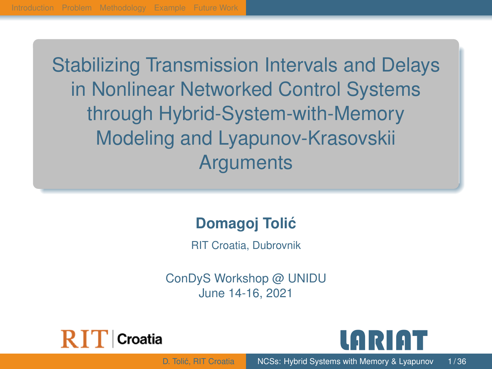<span id="page-0-0"></span>Stabilizing Transmission Intervals and Delays in Nonlinear Networked Control Systems through Hybrid-System-with-Memory Modeling and Lyapunov-Krasovskii **Arguments** 

#### **Domagoj Tolic´**

RIT Croatia, Dubrovnik

ConDyS Workshop @ UNIDU June 14-16, 2021



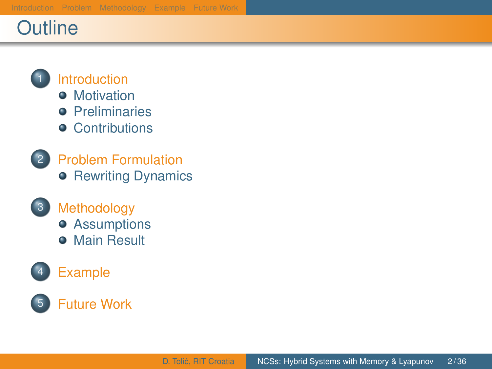## **Outline**



#### **[Introduction](#page-2-0)**

- **•** [Motivation](#page-2-0)
- **O** [Preliminaries](#page-4-0)
- **•** [Contributions](#page-9-0)
- **[Problem Formulation](#page-13-0) • [Rewriting Dynamics](#page-18-0)**
- 
- 3 [Methodology](#page-21-0) **•** [Assumptions](#page-21-0)
	- **[Main Result](#page-25-0)**





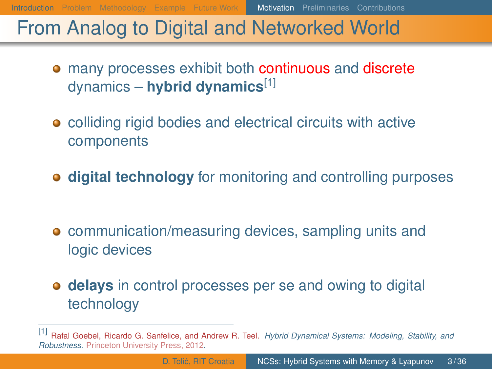#### <span id="page-2-0"></span>From Analog to Digital and Networked World

- many processes exhibit both continuous and discrete dynamics – **hybrid dynamics**[1]
- colliding rigid bodies and electrical circuits with active components
- **digital technology** for monitoring and controlling purposes

- **•** communication/measuring devices, sampling units and logic devices
- **delays** in control processes per se and owing to digital technology

<sup>[1]</sup> Rafal Goebel, Ricardo G. Sanfelice, and Andrew R. Teel. *Hybrid Dynamical Systems: Modeling, Stability, and Robustness*. Princeton University Press, 2012.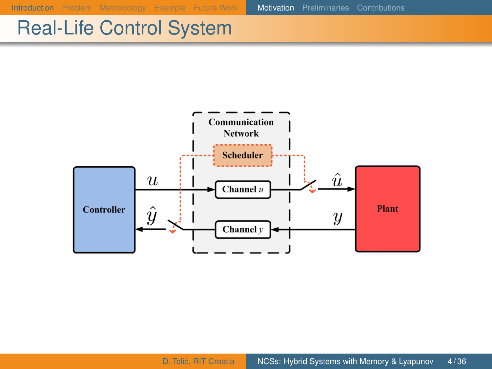[Introduction](#page-2-0) [Problem](#page-13-0) [Methodology](#page-21-0) [Example](#page-32-0) [Future Work](#page-36-0) [Motivation](#page-2-0) [Preliminaries](#page-4-0) [Contributions](#page-9-0)

## Real-Life Control System

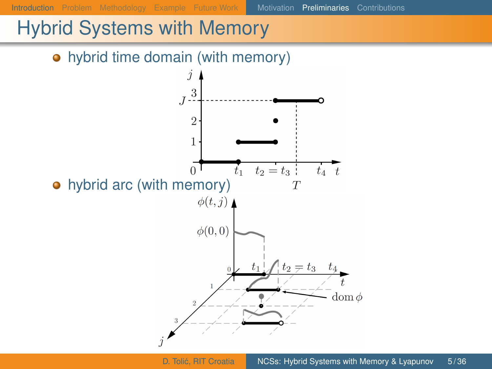<span id="page-4-0"></span>[Introduction](#page-2-0) [Problem](#page-13-0) [Methodology](#page-21-0) [Example](#page-32-0) [Future Work](#page-36-0) [Motivation](#page-2-0) [Preliminaries](#page-4-0) [Contributions](#page-9-0)

#### Hybrid Systems with Memory

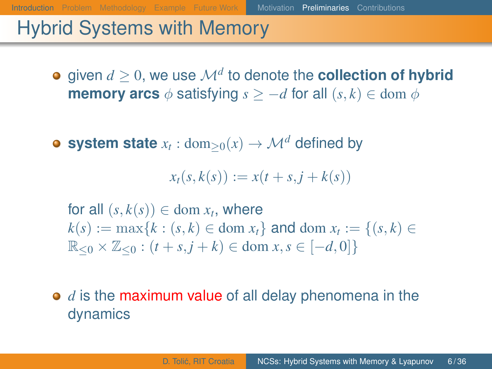[Introduction](#page-2-0) [Problem](#page-13-0) [Methodology](#page-21-0) [Example](#page-32-0) [Future Work](#page-36-0) [Motivation](#page-2-0) [Preliminaries](#page-4-0) [Contributions](#page-9-0)

#### Hybrid Systems with Memory

- given  $d\geq 0$ , we use  $\mathcal{M}^{d}$  to denote the  $\textbf{collection of hybrid}$ **memory arcs**  $\phi$  satisfying  $s > -d$  for all  $(s, k) \in \text{dom } \phi$
- $\textsf{system state}\ x_t:\text{dom}_{\geq 0}(x)\to \mathcal{M}^d$  defined by

 $x_t(s, k(s)) := x(t + s, j + k(s))$ 

for all  $(s, k(s)) \in \text{dom } x_t$ , where  $k(s) := \max\{k : (s, k) \in \text{dom } x_t\}$  and dom  $x_t := \{(s, k) \in$  $\mathbb{R}_{\leq 0} \times \mathbb{Z}_{\leq 0} : (t + s, j + k) \in \text{dom } x, s \in [-d, 0]$ 

**•** *d* is the maximum value of all delay phenomena in the dynamics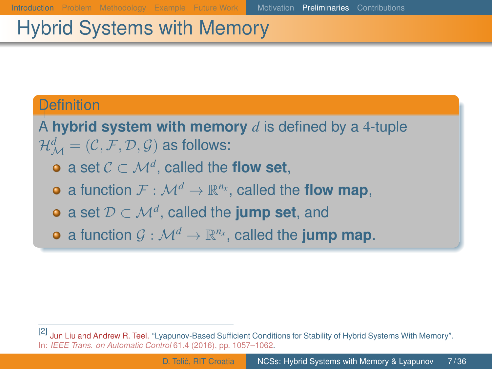## Hybrid Systems with Memory

#### **Definition**

A **hybrid system with memory** *d* is defined by a 4-tuple  $\mathcal{H}^{d}_{\mathcal{M}} = (\mathcal{C}, \mathcal{F}, \mathcal{D}, \mathcal{G})$  as follows:

- a set  $\mathcal{C} \subset \mathcal{M}^d$ , called the **flow set**,
- a function  $\mathcal{F}:\mathcal{M}^d\to\mathbb{R}^{n_x}$ , called the **flow map**,
- a set  $\mathcal{D} \subset \mathcal{M}^d$ , called the **jump set**, and
- a function  $\mathcal{G}:\mathcal{M}^d\to\mathbb{R}^{n_x}$ , called the **jump map**.

<sup>[2]</sup> Jun Liu and Andrew R. Teel. "Lyapunov-Based Sufficient Conditions for Stability of Hybrid Systems With Memory". In: *IEEE Trans. on Automatic Control* 61.4 (2016), pp. 1057–1062.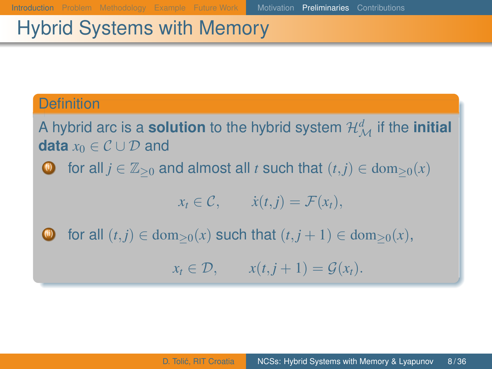## Hybrid Systems with Memory

#### **Definition**

A hybrid arc is a **solution** to the hybrid system  $\mathcal{H}^d_{\mathcal{M}}$  if the **initial data**  $x_0 \in \mathcal{C} \cup \mathcal{D}$  and

for all  $j \in \mathbb{Z}_{\geq 0}$  and almost all *t* such that  $(t, j) \in \text{dom}_{\geq 0}(x)$ 

$$
x_t \in \mathcal{C}, \qquad \dot{x}(t,j) = \mathcal{F}(x_t),
$$

for all  $(t, j) \in \text{dom}_{>0}(x)$  such that  $(t, j + 1) \in \text{dom}_{>0}(x)$ ,

 $x_t \in \mathcal{D}$ ,  $x(t, j + 1) = \mathcal{G}(x_t)$ .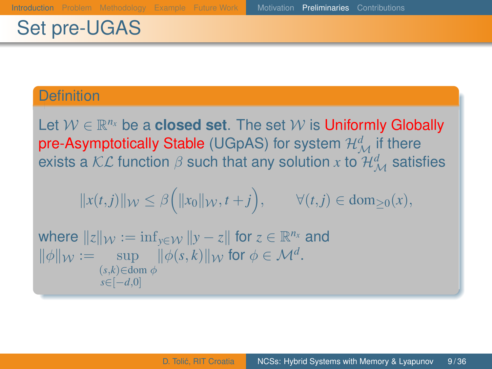## Set pre-UGAS

#### **Definition**

Let  $W \in \mathbb{R}^{n_x}$  be a **closed set**. The set  $W$  is Uniformly Globally  $\bm{{\mathsf{pre\text{-}Asymptotically}}}\;$  Stable (UGpAS) for system  $\mathcal{H}^d_\mathcal{M}$  if there exists a  $\mathcal{KL}$  function  $\beta$  such that any solution  $x$  to  $\mathcal{H}^d_\mathcal{M}$  satisfies

$$
||x(t,j)||_{\mathcal{W}} \leq \beta\Big(||x_0||_{\mathcal{W}}, t+j\Big), \qquad \forall (t,j) \in \mathrm{dom}_{\geq 0}(x),
$$

where  $\|z\|_{\mathcal{W}} := \inf_{y \in \mathcal{W}} \|y - z\|$  for  $z \in \mathbb{R}^{n_x}$  and  $\|\phi\|_{\mathcal{W}} := \sup \quad \|\phi(s,k)\|_{\mathcal{W}}$  for  $\phi \in \mathcal{M}^d$ .  $(s,k) \in$ dom  $\phi$ *s*∈[−*d*,0]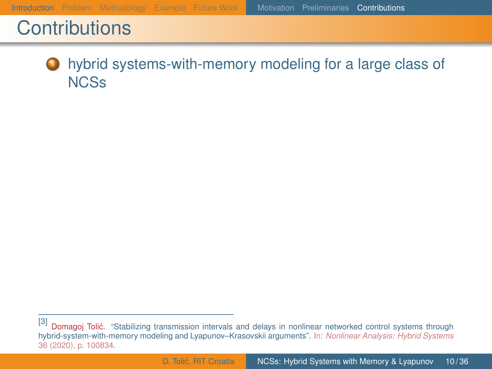#### <span id="page-9-2"></span><span id="page-9-1"></span><span id="page-9-0"></span>**1** hybrid systems-with-memory modeling for a large class of **NCSs**

<span id="page-9-4"></span><span id="page-9-3"></span><sup>[3]</sup> Domagoj Tolić. "Stabilizing transmission intervals and delays in nonlinear networked control systems through hybrid-system-with-memory modeling and Lyapunov–Krasovskii arguments". In: *Nonlinear Analysis: Hybrid Systems* 36 (2020), p. 100834.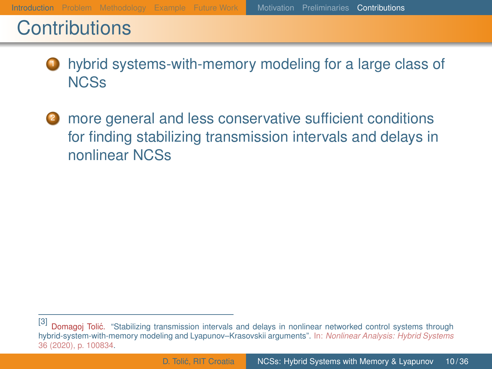**1** hybrid systems-with-memory modeling for a large class of **NCSs** 

<sup>2</sup> more general and less conservative sufficient conditions for finding stabilizing transmission intervals and delays in nonlinear NCSs

<sup>[3]</sup> Domagoj Tolić. "Stabilizing transmission intervals and delays in nonlinear networked control systems through hybrid-system-with-memory modeling and Lyapunov–Krasovskii arguments". In: *Nonlinear Analysis: Hybrid Systems* 36 (2020), p. 100834.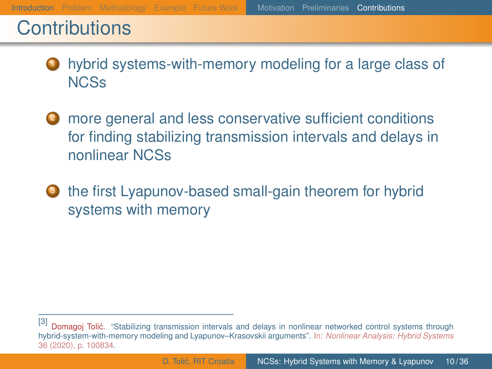- hybrid systems-with-memory modeling for a large class of **NCSs**
- **2** more general and less conservative sufficient conditions for finding stabilizing transmission intervals and delays in nonlinear NCSs
- **3** the first Lyapunov-based small-gain theorem for hybrid systems with memory

<sup>[3]</sup> Domagoj Tolić. "Stabilizing transmission intervals and delays in nonlinear networked control systems through hybrid-system-with-memory modeling and Lyapunov–Krasovskii arguments". In: *Nonlinear Analysis: Hybrid Systems* 36 (2020), p. 100834.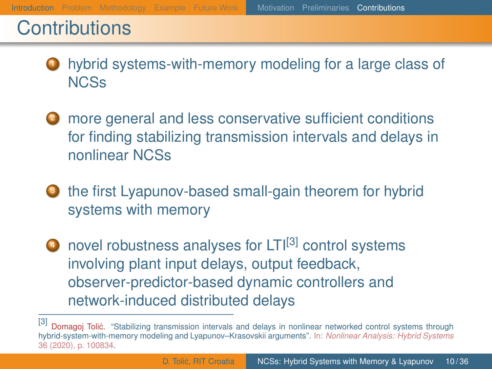<span id="page-12-0"></span>hybrid systems-with-memory modeling for a large class of **NCSs** 

- **2** more general and less conservative sufficient conditions for finding stabilizing transmission intervals and delays in nonlinear NCSs
- **3** the first Lyapunov-based small-gain theorem for hybrid systems with memory
- $\triangle$  novel robustness analyses for  $LT[<sup>[3]</sup>$  control systems involving plant input delays, output feedback, observer-predictor-based dynamic controllers and network-induced distributed delays

<sup>[3]</sup> Domagoi Tolić. "Stabilizing transmission intervals and delays in nonlinear networked control systems through hybrid-system-with-memory modeling and Lyapunov–Krasovskii arguments". In: *Nonlinear Analysis: Hybrid Systems* 36 (2020), p. 100834.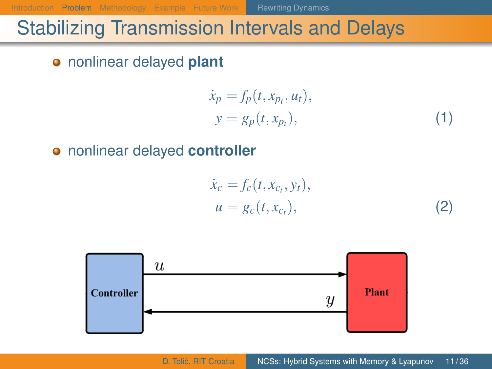<span id="page-13-0"></span>[Introduction](#page-2-0) [Problem](#page-13-0) [Methodology](#page-21-0) [Example](#page-32-0) [Future Work](#page-36-0) [Rewriting Dynamics](#page-18-0)

## Stabilizing Transmission Intervals and Delays

nonlinear delayed **plant**

$$
\dot{x}_p = f_p(t, x_{p_t}, u_t),
$$
  
\n
$$
y = g_p(t, x_{p_t}),
$$
\n(1)

nonlinear delayed **controller**

$$
\dot{x}_c = f_c(t, x_{c_t}, y_t), \n u = g_c(t, x_{c_t}),
$$
\n(2)

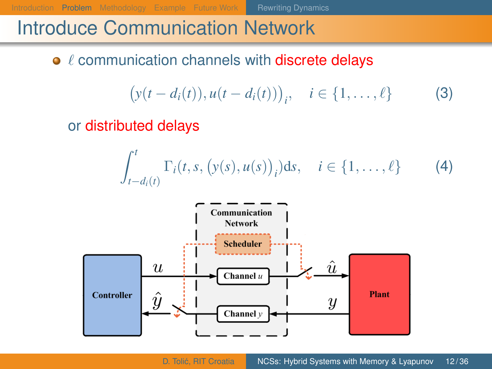[Introduction](#page-2-0) **[Problem](#page-13-0)** [Methodology](#page-21-0) [Example](#page-32-0) [Future Work](#page-36-0) **[Rewriting Dynamics](#page-18-0)** 

<span id="page-14-1"></span><span id="page-14-0"></span>

## Introduce Communication Network

#### $\bullet$   $\ell$  communication channels with discrete delays

$$
(y(t - d_i(t)), u(t - d_i(t)))_i, \quad i \in \{1, ..., \ell\}
$$
 (3)

#### or distributed delays

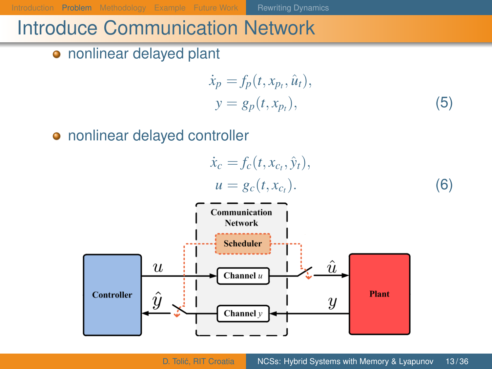[Introduction](#page-2-0) **[Problem](#page-13-0)** [Methodology](#page-21-0) [Example](#page-32-0) [Future Work](#page-36-0) **[Rewriting Dynamics](#page-18-0)** 

## Introduce Communication Network

nonlinear delayed plant

<span id="page-15-1"></span><span id="page-15-0"></span>
$$
\begin{aligned}\n\dot{x}_p &= f_p(t, x_{p_t}, \hat{u}_t), \\
y &= g_p(t, x_{p_t}),\n\end{aligned} \tag{5}
$$

nonlinear delayed controller

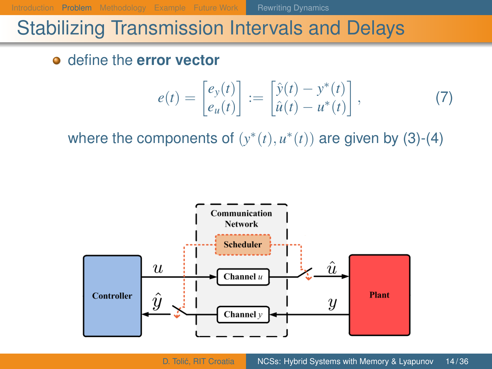[Introduction](#page-2-0) [Problem](#page-13-0) [Methodology](#page-21-0) [Example](#page-32-0) [Future Work](#page-36-0) **[Rewriting Dynamics](#page-18-0)** 

<span id="page-16-0"></span>

#### Stabilizing Transmission Intervals and Delays

define the **error vector**

$$
e(t) = \begin{bmatrix} e_y(t) \\ e_u(t) \end{bmatrix} := \begin{bmatrix} \hat{y}(t) - y^*(t) \\ \hat{u}(t) - u^*(t) \end{bmatrix},
$$
(7)

where the components of  $(y^*(t), u^*(t))$  are given by [\(3\)](#page-14-0)-[\(4\)](#page-14-1)

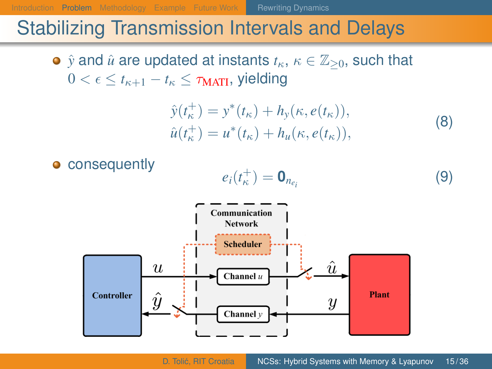[Introduction](#page-2-0) **[Problem](#page-13-0)** [Methodology](#page-21-0) [Example](#page-32-0) [Future Work](#page-36-0) **[Rewriting Dynamics](#page-18-0)** 

## Stabilizing Transmission Intervals and Delays

•  $\hat{y}$  and  $\hat{u}$  are updated at instants  $t_{\kappa}$ ,  $\kappa \in \mathbb{Z}_{\geq 0}$ , such that  $0 < \epsilon < t_{\kappa+1} - t_{\kappa} < \tau_{\text{MATI}}$ , yielding

$$
\hat{y}(t_{\kappa}^{+}) = y^{*}(t_{\kappa}) + h_{y}(\kappa, e(t_{\kappa})),\n\hat{u}(t_{\kappa}^{+}) = u^{*}(t_{\kappa}) + h_{u}(\kappa, e(t_{\kappa})),
$$
\n(8)

**o** consequently

$$
e_i(t_\kappa^+) = \mathbf{0}_{n_{e_i}} \tag{9}
$$

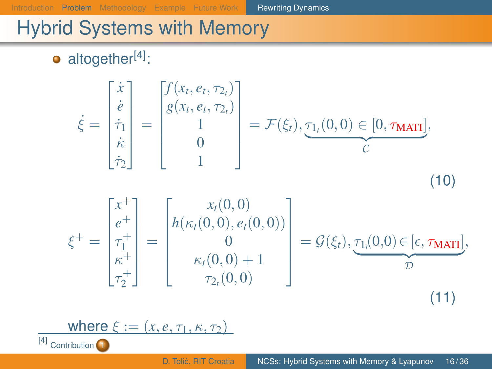<span id="page-18-0"></span>[Introduction](#page-2-0) [Problem](#page-13-0) [Methodology](#page-21-0) [Example](#page-32-0) [Future Work](#page-36-0) [Rewriting Dynamics](#page-18-0)

<span id="page-18-2"></span><span id="page-18-1"></span>

## Hybrid Systems with Memory

 $\bullet$  altogether<sup>[4]</sup>:

$$
\dot{\xi} = \begin{bmatrix} \dot{x} \\ \dot{e} \\ \dot{\tau}_1 \\ \dot{\kappa} \\ \dot{\tau}_2 \end{bmatrix} = \begin{bmatrix} f(x_t, e_t, \tau_{2_t}) \\ g(x_t, e_t, \tau_{2_t}) \\ 1 \\ 0 \\ 1 \end{bmatrix} = \mathcal{F}(\xi_t), \underbrace{\tau_{1_t}(0, 0) \in [0, \tau_{\text{MATI}}]}_{\mathcal{C}},
$$
\n
$$
\xi^+ = \begin{bmatrix} x^+ \\ e^+ \\ \tau_1^+ \\ \tau_2^+ \end{bmatrix} = \begin{bmatrix} x_t(0, 0) \\ h(\kappa_t(0, 0), e_t(0, 0)) \\ 0 \\ \kappa_t(0, 0) + 1 \\ \tau_{2_t}(0, 0) \end{bmatrix} = \mathcal{G}(\xi_t), \underbrace{\tau_{1_t}(0, 0) \in [\epsilon, \tau_{\text{MATI}}]}_{\mathcal{D}},
$$
\n(11)

$$
\underbrace{\text{where }\xi:=(x,e,\tau_1,\kappa,\tau_2)}_{\text{Contribution}}
$$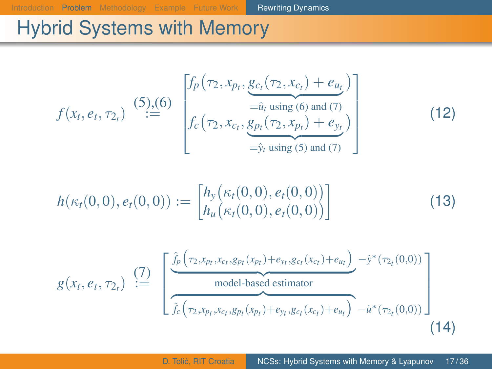[Introduction](#page-2-0) [Problem](#page-13-0) [Methodology](#page-21-0) [Example](#page-32-0) [Future Work](#page-36-0) [Rewriting Dynamics](#page-18-0)

 $(12)$ 

## Hybrid Systems with Memory

$$
f(x_t, e_t, \tau_{2_t}) \stackrel{(5),(6)}{:=} \begin{bmatrix} f_p(\tau_2, x_{p_t}, \underbrace{g_{c_t}(\tau_2, x_{c_t}) + e_{u_t}}) \\ = \underbrace{a_t \text{ using (6) and (7)}}_{= \hat{y}_t \text{ using (5) and (7)}} \\ f_c(\tau_2, x_{c_t}, \underbrace{g_{p_t}(\tau_2, x_{p_t}) + e_{y_t}}_{= \hat{y}_t \text{ using (5) and (7)}}) \end{bmatrix}
$$

$$
h(\kappa_t(0,0), e_t(0,0)) := \begin{bmatrix} h_y(\kappa_t(0,0), e_t(0,0)) \\ h_u(\kappa_t(0,0), e_t(0,0)) \end{bmatrix}
$$
 (13)

$$
g(x_t, e_t, \tau_{2_t}) \stackrel{(7)}{:=} \left[ \frac{\hat{f}_p(\tau_{2}, x_{p_t}, x_{c_t}, g_{p_t}(x_{p_t}) + e_{y_t}, g_{c_t}(x_{c_t}) + e_{u_t})}{model-based estimator} - \hat{f}_c(\tau_{2}, x_{p_t}, x_{c_t}, g_{p_t}(x_{p_t}) + e_{y_t}, g_{c_t}(x_{c_t}) + e_{u_t}) - \hat{u}^*(\tau_{2_t}(0, 0)) \right]
$$
\n(14)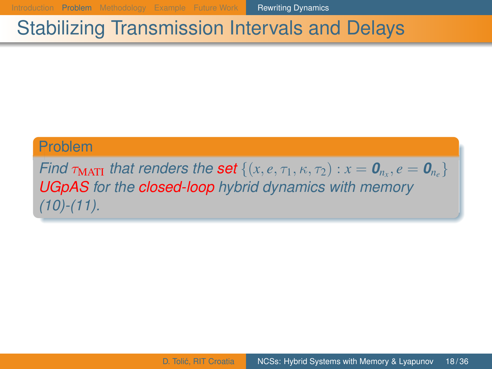[Introduction](#page-2-0) [Problem](#page-13-0) [Methodology](#page-21-0) [Example](#page-32-0) [Future Work](#page-36-0) **[Rewriting Dynamics](#page-18-0)** 

#### Stabilizing Transmission Intervals and Delays

#### Problem

*Find*  $\tau_{\text{MATI}}$  *that renders the set*  $\{(x, e, \tau_1, \kappa, \tau_2) : x = \mathbf{0}_{n_x}, e = \mathbf{0}_{n_e}\}$ *UGpAS for the closed-loop hybrid dynamics with memory [\(10\)](#page-18-1)-[\(11\)](#page-18-2).*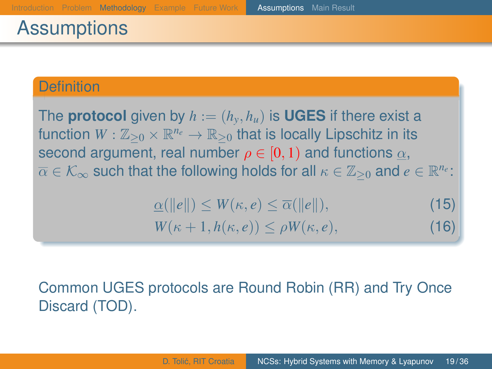## <span id="page-21-0"></span>**Assumptions**

#### **Definition**

The **protocol** given by  $h := (h_v, h_u)$  is **UGES** if there exist a function  $W: \mathbb{Z}_{\geq 0} \times \mathbb{R}^{n_e} \to \mathbb{R}_{\geq 0}$  that is locally Lipschitz in its second argument, real number  $\rho \in [0, 1)$  and functions  $\alpha$ ,  $\overline{\alpha}\in\mathcal{K}_{\infty}$  such that the following holds for all  $\kappa\in\mathbb{Z}_{\geq0}$  and  $e\in\mathbb{R}^{n_{e}}$ :

$$
\underline{\alpha}(\|e\|) \le W(\kappa, e) \le \overline{\alpha}(\|e\|),
$$
  
 
$$
W(\kappa + 1, h(\kappa, e)) \le \rho W(\kappa, e),
$$
 (16)

#### Common UGES protocols are Round Robin (RR) and Try Once Discard (TOD).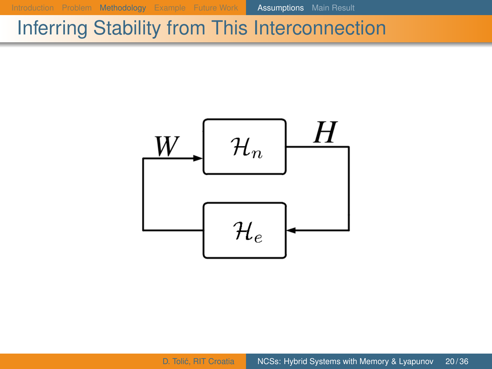[Introduction](#page-2-0) [Problem](#page-13-0) [Methodology](#page-21-0) [Example](#page-32-0) [Future Work](#page-36-0) **[Assumptions](#page-21-0)** [Main Result](#page-25-0)

## Inferring Stability from This Interconnection

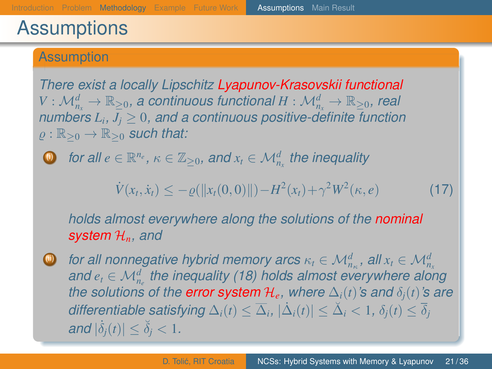#### **Assumptions**

#### **Assumption**

<span id="page-23-0"></span>*There exist a locally Lipschitz Lyapunov-Krasovskii functional*  $V:\mathcal{M}_{n_x}^d\to\mathbb{R}_{\geq 0}$ , a continuous functional  $H:\mathcal{M}_{n_x}^d\to\mathbb{R}_{\geq 0}$ , real *numbers*  $L_i$ *,*  $J_j \geq 0$ *, and a continuous positive-definite function*  $\rho : \mathbb{R}_{\geq 0} \to \mathbb{R}_{\geq 0}$  *such that:* 

 $\textcircled{\char'42}$  *for all e*  $\in$   $\mathbb{R}^{n_e}$ ,  $\kappa \in \mathbb{Z}_{\geq 0}$ , and  $x_t \in \mathcal{M}_{n_x}^d$  the inequality

$$
\dot{V}(x_t, \dot{x}_t) \le -\varrho(||x_t(0,0)||) - H^2(x_t) + \gamma^2 W^2(\kappa, e)
$$
\n(17)

*holds almost everywhere along the solutions of the nominal system* H*n, and*

 $\bullet$  *for all nonnegative hybrid memory arcs*  $\kappa_t \in {\cal M}_{n_{\kappa}}^d$ *, all*  $x_t \in {\cal M}_{n_{\kappa}}^d$ *and e<sup>t</sup>* ∈ M*<sup>d</sup> ne the inequality [\(18\)](#page-24-0) holds almost everywhere along the solutions of the error system*  $\mathcal{H}_e$ *, where*  $\Delta_i(t)$ *'s and*  $\delta_i(t)$ *'s are differentiable satisfying*  $\Delta_i(t) \leq \overline{\Delta}_i$ ,  $|\dot{\Delta}_i(t)| \leq \breve{\Delta}_i < 1$ ,  $\delta_j(t) \leq \overline{\delta}_j$  $|a| \dot{\delta}_j(t)| \leq \breve{\delta}_j < 1.$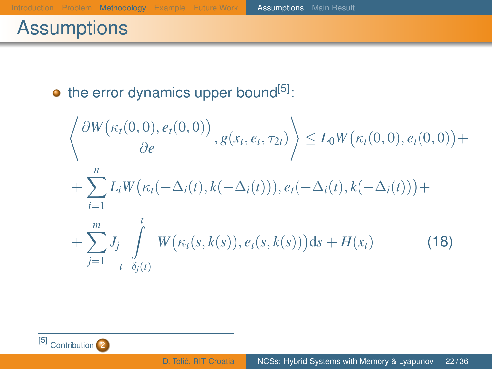## **Assumptions**

#### $\bullet$  the error dynamics upper bound<sup>[5]</sup>:

<span id="page-24-0"></span>
$$
\left\langle \frac{\partial W(\kappa_t(0,0), e_t(0,0))}{\partial e}, g(x_t, e_t, \tau_{2t}) \right\rangle \le L_0 W(\kappa_t(0,0), e_t(0,0)) + \sum_{i=1}^n L_i W(\kappa_t(-\Delta_i(t), k(-\Delta_i(t))), e_t(-\Delta_i(t), k(-\Delta_i(t))) + \sum_{j=1}^m J_j \int_{t-\delta_j(t)}^t W(\kappa_t(s, k(s)), e_t(s, k(s))) ds + H(x_t)
$$
\n(18)

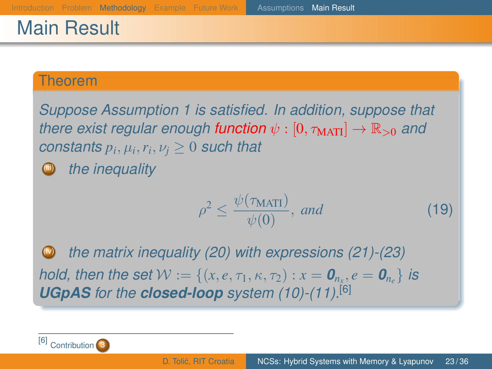## <span id="page-25-0"></span>Main Result

#### Theorem

*Suppose Assumption [1](#page-23-0) is satisfied. In addition, suppose that there exist regular enough function*  $\psi : [0, \tau_{\text{MATI}}] \rightarrow \mathbb{R}_{>0}$  *and*  $\emph{constants}\ p_i,\mu_i,r_i,\nu_j\geq 0$  such that (iii) *the inequality*

> <span id="page-25-1"></span> $\rho^2 \leq \frac{\psi(\tau_{\text{MATI}})}{1/\sqrt{2}}$  $\frac{\sqrt{M(11)}}{\psi(0)}$ , *and* (19)

*the matrix inequality [\(20\)](#page-26-0) with expressions [\(21\)](#page-26-1)-[\(23\)](#page-26-2) hold, then the set*  $\mathcal{W} := \{(x, e, \tau_1, \kappa, \tau_2) : x = \mathbf{0}_{n_x}, e = \mathbf{0}_{n_e}\}$  *is UGpAS for the closed-loop system [\(10\)](#page-18-1)-[\(11\)](#page-18-2).*[6]

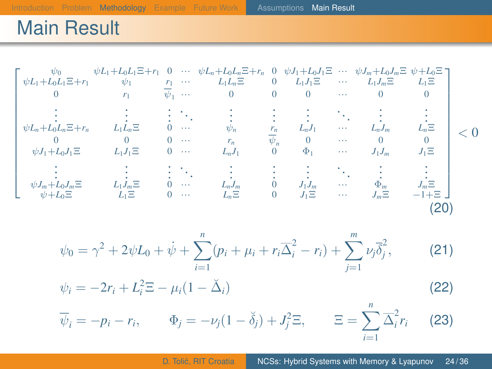## Main Result

$$
\begin{bmatrix}\n\psi_{0} & \psi_{1+1}L_{0}L_{1}\Xi+r_{1} & 0 & \cdots & \psi_{L_{n}+L_{0}L_{n}\Xi+r_{n} & 0 & \psi_{J_{1}+L_{0}J_{1}\Xi} & \cdots & \psi_{J_{m}+L_{0}J_{m}\Xi} & \psi_{I}+L_{0}\Xi \\
0 & r_{1} & \overline{\psi}_{1} & \cdots & 0 & 0 & 0 & \cdots & 0 & 0 \\
\vdots & \vdots & \vdots & \ddots & \vdots & \vdots & \vdots & \ddots & \vdots \\
\psi_{L_{n}+L_{0}L_{n}\Xi+r_{n} & L_{1}L_{n}\Xi & 0 & \cdots & r_{n} & \overline{\psi}_{n} & L_{n}J_{1} & \cdots & L_{n}J_{m} & L_{n}\Xi \\
0 & 0 & 0 & \cdots & \psi_{n} & r_{n} & L_{n}J_{1} & \cdots & L_{n}J_{m} & L_{n}\Xi \\
0 & 0 & 0 & \cdots & r_{n} & \overline{\psi}_{n} & 0 & \cdots & 0 & 0 \\
\psi_{J_{1}+L_{0}J_{1}\Xi} & L_{1}J_{1}\Xi & 0 & \cdots & L_{n}J_{1} & 0 & \Phi_{1} & \cdots & J_{1}J_{m} & J_{1}\Xi \\
\vdots & \vdots & \vdots & \vdots & \vdots & \vdots & \vdots & \vdots & \vdots \\
\psi_{J_{m}+L_{0}J_{m}\Xi} & L_{1}J_{m}\Xi & 0 & \cdots & L_{n}J_{m} & 0 & J_{1}J_{m} & \cdots & \Phi_{m} & J_{m}\Xi \\
\psi_{J_{m}+L_{0}J_{m}\Xi} & L_{1}\Xi & 0 & \cdots & L_{n}\Xi & 0 & J_{1}\Xi & \cdots & J_{m}\Xi & -1+\Xi\n\end{bmatrix}
$$
\n(20)

<span id="page-26-2"></span><span id="page-26-1"></span><span id="page-26-0"></span>
$$
\psi_0 = \gamma^2 + 2\psi L_0 + \dot{\psi} + \sum_{i=1}^n (p_i + \mu_i + r_i \overline{\Delta}_i^2 - r_i) + \sum_{j=1}^m \nu_j \overline{\delta}_j^2,
$$
(21)  

$$
\psi_i = -2r_i + L_i^2 \Xi - \mu_i (1 - \breve{\Delta}_i)
$$
(22)  

$$
\overline{\psi}_i = -p_i - r_i, \qquad \Phi_j = -\nu_j (1 - \breve{\delta}_j) + J_j^2 \Xi, \qquad \Xi = \sum_{i=1}^n \overline{\Delta}_i^2 r_i
$$
(23)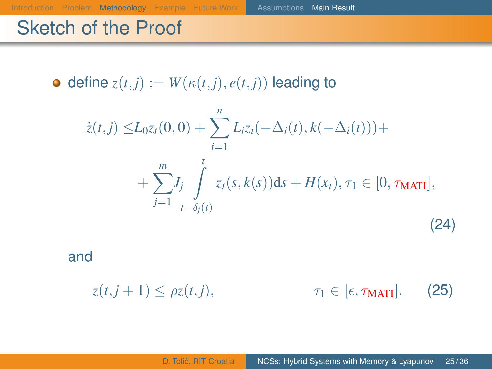$\bullet$  define  $z(t, j) := W(\kappa(t, j), e(t, j))$  leading to

[Introduction](#page-2-0) [Problem](#page-13-0) [Methodology](#page-21-0) [Example](#page-32-0) [Future Work](#page-36-0) [Assumptions](#page-21-0) [Main Result](#page-25-0)

$$
\dot{z}(t,j) \le L_0 z_t(0,0) + \sum_{i=1}^n L_i z_t(-\Delta_i(t), k(-\Delta_i(t))) + \sum_{j=1}^m J_j \int_{t-\delta_j(t)}^t z_t(s,k(s))ds + H(x_t), \tau_1 \in [0, \tau_{\text{MATI}}],
$$
\n(24)

and

 $z(t, j+1) \leq \rho z(t, j),$   $\tau_1 \in [\epsilon, \tau_{\text{MATI}}].$  (25)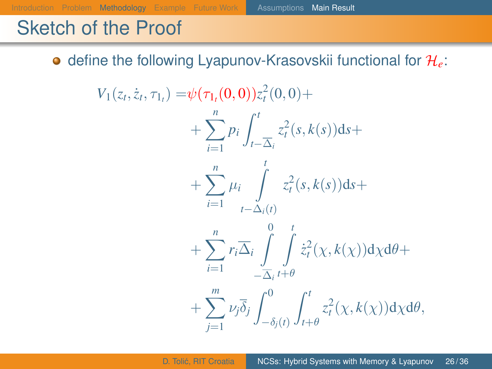**o** define the following Lyapunov-Krasovskii functional for  $\mathcal{H}_e$ :

 $V_1(z_t, \dot{z}_t, \tau_{1_t}) = \psi(\tau_{1_t}(0, 0))z_t^2(0, 0) +$  $+\sum_{i=1}^{n}p_i$ *i*=1  $\int_0^t$ *t*−∆*<sup>i</sup>*  $z_t^2(s, k(s))$ d*s*+  $+\sum_{1}^{n}$ *i*=1 µ*i* Z*t t*−∆*i*(*t*)  $z_t^2(s, k(s))$ d*s*+  $+\sum_{n=1}^{n}$ *i*=1 *r*<sub>*i*</sub> $\overline{\Delta}_i$   $\int_0^0$  $-\Delta_i$  $\frac{t}{\sqrt{2}}$ *t*+θ  $\dot{z}_t^2(\chi, k(\chi))d\chi d\theta +$  $+\sum$ <sup>*m*</sup> *j*=1 ν*j*δ*<sup>j</sup>*  $\int_0^0$  $-\delta_j(t)$  $\int_0^t$ *t*+θ *z* 2 *t* (χ, *k*(χ))dχdθ,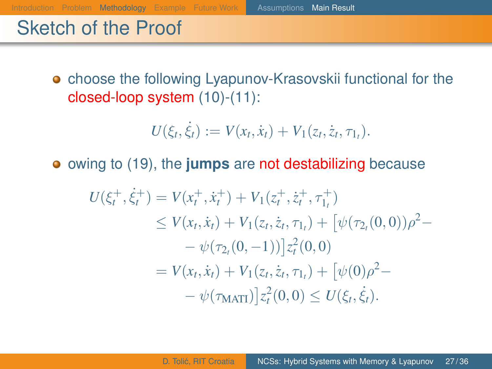**•** choose the following Lyapunov-Krasovskii functional for the closed-loop system [\(10\)](#page-18-1)-[\(11\)](#page-18-2):

[Introduction](#page-2-0) [Problem](#page-13-0) [Methodology](#page-21-0) [Example](#page-32-0) [Future Work](#page-36-0) [Assumptions](#page-21-0) [Main Result](#page-25-0)

$$
U(\xi_t, \dot{\xi}_t) := V(x_t, \dot{x}_t) + V_1(z_t, \dot{z}_t, \tau_{1_t}).
$$

owing to [\(19\)](#page-25-1), the **jumps** are not destabilizing because

$$
U(\xi_t^+, \dot{\xi}_t^+) = V(x_t^+, \dot{x}_t^+) + V_1(z_t^+, \dot{z}_t^+, \tau_{1_t}^+)
$$
  
\n
$$
\leq V(x_t, \dot{x}_t) + V_1(z_t, \dot{z}_t, \tau_{1_t}) + [\psi(\tau_{2_t}(0, 0))\rho^2 - \phi(\tau_{2_t}(0, -1))]z_t^2(0, 0)
$$
  
\n
$$
= V(x_t, \dot{x}_t) + V_1(z_t, \dot{z}_t, \tau_{1_t}) + [\psi(0)\rho^2 - \phi(\tau_{\text{MATI}})]z_t^2(0, 0) \leq U(\xi_t, \dot{\xi}_t).
$$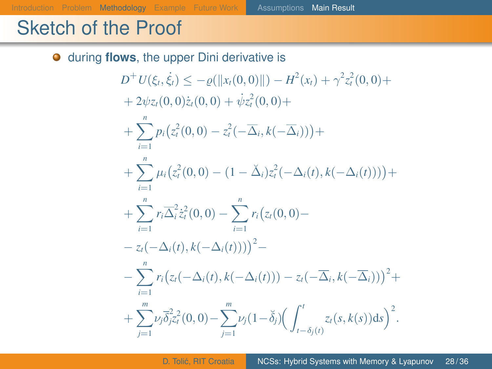$\bullet$ 

during **flows**, the upper Dini derivative is  $D^+U(\xi_t, \dot{\xi_t}) \leq -\varrho(||x_t(0,0)||) - H^2(x_t) + \gamma^2 z_t^2(0,0) +$  $+ 2\psi z_t(0,0)\dot z_t(0,0) + \dot \psi z_t^2(0,0) +$  $+\sum_{i=1}^{n} p_i(z_i^2(0,0) - z_i^2(-\overline{\Delta}_i,k(-\overline{\Delta}_i))) +$ *i*=1  $+\sum_{i=1}^{n} \mu_i(z_i^2(0,0) - (1 - \check{\Delta}_i)z_i^2(-\Delta_i(t), k(-\Delta_i(t))))$ *i*=1  $+\sum_{i=1}^{n} r_i \overline{\Delta}_i^2 \dot{z}_i^2(0,0) - \sum_{i=1}^{n} r_i (z_i(0,0)$ *i*=1 *i*=1  $-z_t(-\Delta_i(t), k(-\Delta_i(t))))^2 -\sum_{i=1}^{n} r_i (z_i(-\Delta_i(t), k(-\Delta_i(t))) - z_i(-\overline{\Delta}_i, k(-\overline{\Delta}_i)))^2 +$ *i*=1  $+\sum$ <sup>*m*</sup> *j*=1  $\nu_j \overline{\delta}_j^2 z_t^2(0,0) - \sum^m$ *j*=1  $\nu_j(1-\breve{\delta}_j)\left(\int^t$ *t*−δ*j*(*t*)  $z_t(s, k(s))ds$ <sup>2</sup>.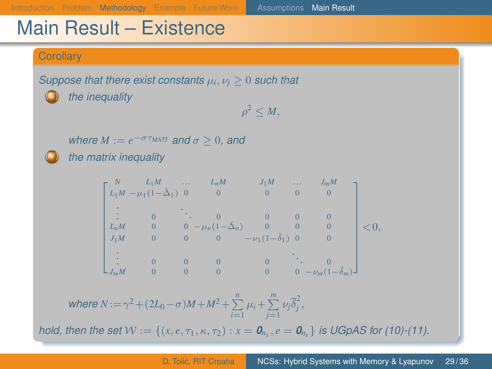#### Main Result – Existence

#### **Corollary**

*Suppose that there exist constants*  $\mu_i, \nu_i \geq 0$  *such that* 

the inequality

 $\rho^2 \leq M$ ,

*where*  $M := e^{-\sigma \tau_{MATI}}$  *and*  $\sigma \geq 0$ *, and* 

the matrix inequality

$$
\begin{bmatrix} N & L_1M & \cdots & L_nM & J_1M & \cdots & J_mM \\ L_1M - \mu_1(1-\check{\Delta}_1) & 0 & 0 & 0 & 0 \\ \vdots & \vdots & \ddots & 0 & 0 & 0 & 0 \\ L_mM & 0 & 0 & -\mu_n(1-\check{\Delta}_n) & 0 & 0 & 0 \\ J_1M & 0 & 0 & 0 & -\nu_1(1-\check{\delta}_1) & 0 & 0 \\ \vdots & \vdots & 0 & 0 & 0 & 0 & \ddots & 0 \\ J_mM & 0 & 0 & 0 & 0 & 0 & -\nu_m(1-\check{\delta}_m) \end{bmatrix} < 0,
$$

 $where N := \gamma^2 + (2L_0 - \sigma)M + M^2 + \sum_{i=1}^{n} \mu_i + \sum_{j=1}^{m} \nu_j \overline{\delta}_j^2,$ 

*hold, then the set*  $\mathcal{W} := \{(x, e, \tau_1, \kappa, \tau_2) : x = \mathbf{0}_{n_x}, e = \mathbf{0}_{n_e}\}$  is UGpAS for [\(10\)](#page-18-1)-[\(11\)](#page-18-2).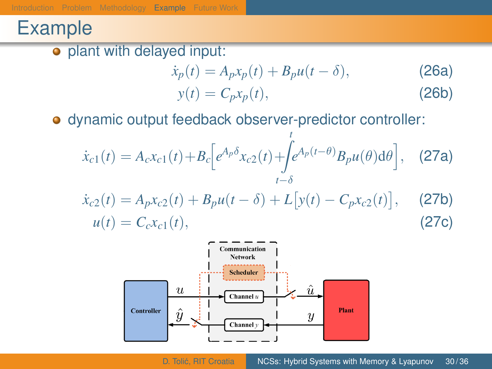## <span id="page-32-0"></span>Example

o plant with delayed input:

<span id="page-32-2"></span><span id="page-32-1"></span>
$$
\dot{x}_p(t) = A_p x_p(t) + B_p u(t - \delta),
$$
\n
$$
y(t) = C_p x_p(t),
$$
\n(26a)\n(26b)

dynamic output feedback observer-predictor controller:

$$
\dot{x}_{c1}(t) = A_c x_{c1}(t) + B_c \Big[ e^{A_p \delta} x_{c2}(t) + \int_{t-\delta}^t e^{A_p(t-\theta)} B_p u(\theta) d\theta \Big], \quad \text{(27a)}
$$
\n
$$
\dot{x}_{c2}(t) = A_p x_{c2}(t) + B_p u(t-\delta) + L \big[ y(t) - C_p x_{c2}(t) \big], \quad \text{(27b)}
$$
\n
$$
u(t) = C_c x_{c1}(t), \quad \text{(27c)}
$$

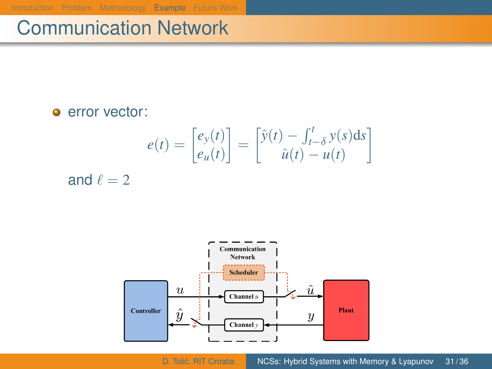[Introduction](#page-2-0) [Problem](#page-13-0) [Methodology](#page-21-0) [Example](#page-32-0) [Future Work](#page-36-0)

## Communication Network

**e** error vector:

$$
e(t) = \begin{bmatrix} e_y(t) \\ e_u(t) \end{bmatrix} = \begin{bmatrix} \hat{y}(t) - \int_{t-\delta}^t y(s)ds \\ \hat{u}(t) - u(t) \end{bmatrix}
$$

and  $\ell = 2$ 

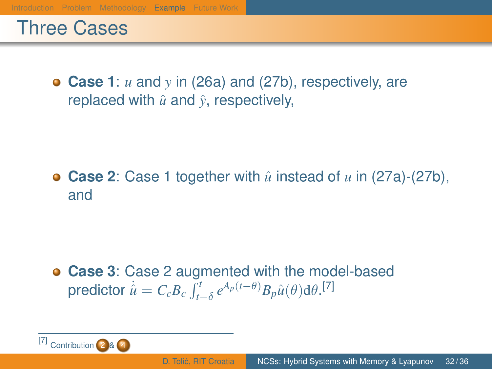#### Three Cases

**Case 1**: *u* and *y* in [\(26a](#page-32-1)) and [\(27b](#page-32-2)), respectively, are replaced with  $\hat{u}$  and  $\hat{v}$ , respectively,

**• Case 2**: Case 1 together with  $\hat{u}$  instead of  $u$  in [\(27a](#page-32-2))-[\(27b](#page-32-2)), and

**Case 3**: Case 2 augmented with the model-based  $\textsf{predictor}\,\, \dot{\hat{u}} = C_cB_c\int_{t-\delta}^{t}e^{A_p(t-\theta)}B_p\hat{u}(\theta)\text{d}\theta.$ <sup>[7]</sup>

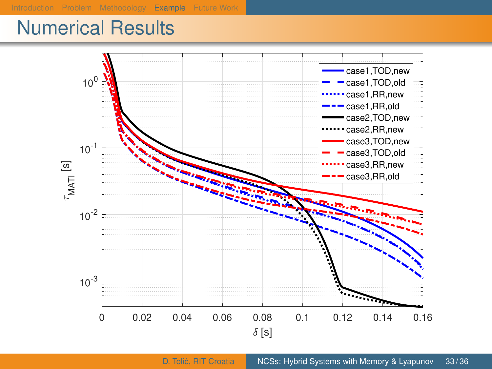#### Numerical Results

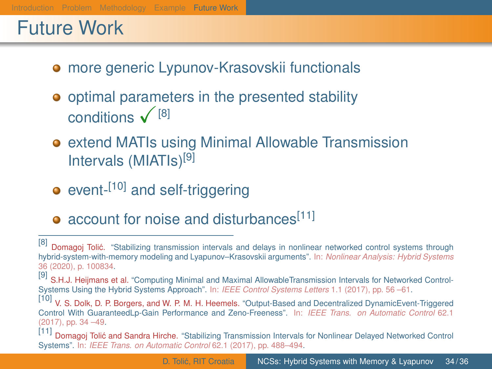## <span id="page-36-0"></span>Future Work

- **•** more generic Lypunov-Krasovskii functionals
- **•** optimal parameters in the presented stability conditions  $\sqrt{8}$
- **•** extend MATIs using Minimal Allowable Transmission Intervals (MIATIs)[9]
- $\bullet$  event- $^{[10]}$  and self-triggering
- account for noise and disturbances<sup>[11]</sup>

<sup>[8]</sup> Domagoj Tolić. "Stabilizing transmission intervals and delays in nonlinear networked control systems through hybrid-system-with-memory modeling and Lyapunov–Krasovskii arguments". In: *Nonlinear Analysis: Hybrid Systems* 36 (2020), p. 100834.

<sup>[9]</sup> S.H.J. Heijmans et al. "Computing Minimal and Maximal AllowableTransmission Intervals for Networked Control-Systems Using the Hybrid Systems Approach". In: *IEEE Control Systems Letters* 1.1 (2017), pp. 56 –61.

V. S. Dolk, D. P. Borgers, and W. P. M. H. Heemels. "Output-Based and Decentralized DynamicEvent-Triggered Control With GuaranteedLp-Gain Performance and Zeno-Freeness". In: *IEEE Trans. on Automatic Control* 62.1 (2017), pp. 34 –49.<br>[11] Demase: Taliá

Domagoj Tolić and Sandra Hirche. "Stabilizing Transmission Intervals for Nonlinear Delayed Networked Control Systems". In: *IEEE Trans. on Automatic Control* 62.1 (2017), pp. 488–494.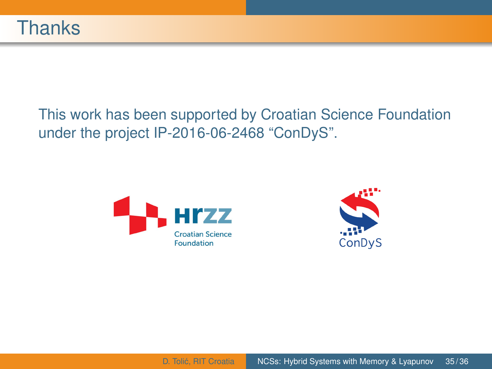#### This work has been supported by Croatian Science Foundation under the project IP-2016-06-2468 "ConDyS".



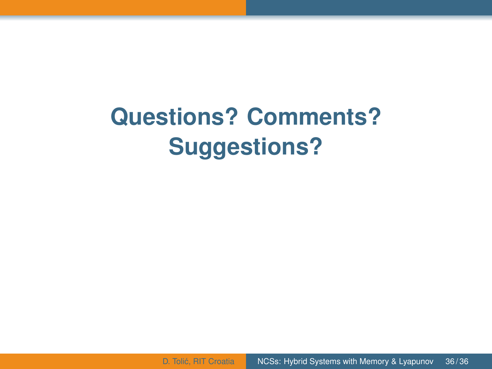# **Questions? Comments? Suggestions?**